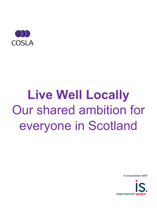

## **Live Well Locally** Our shared ambition for everyone in Scotland

In association with

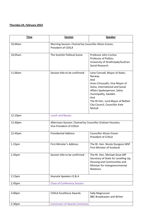## **Thursday 24, February 2022**

| <b>Time</b> | <b>Session</b>                                                                      | <b>Speaker</b>                                                                                                                                                                                                                                                      |  |
|-------------|-------------------------------------------------------------------------------------|---------------------------------------------------------------------------------------------------------------------------------------------------------------------------------------------------------------------------------------------------------------------|--|
| 10.00am     | Morning Session: Chaired by Councillor Alison Evison,<br>President of COSLA         |                                                                                                                                                                                                                                                                     |  |
| 10.05am     | The Scottish Political Scene                                                        | Professor John Curtice<br><b>Professor of Politics</b><br>University of Strathclyde/ScotCen<br>Social Research                                                                                                                                                      |  |
| 11.00am     | Session title to be confirmed                                                       | Lene Conradi, Mayor of Asker,<br>Norway<br>And<br>Arion Chryssafis, Vice Mayor of<br>Solna, International and Social<br>Affairs Spokesperson, Solna<br>municipality, Sweden<br>And<br>The Rt Hon. Lord Mayor of Belfast<br>City Council, Councillor Kate<br>Nicholl |  |
| 12.10pm     | <b>Lunch and Recess</b>                                                             |                                                                                                                                                                                                                                                                     |  |
| 12.40pm     | Afternoon Session: Chaired by Councillor Graham Houston,<br>Vice President of COSLA |                                                                                                                                                                                                                                                                     |  |
| 12.45pm     | <b>Presidential Address</b>                                                         | <b>Councillor Alison Evison</b><br>President of COSLA                                                                                                                                                                                                               |  |
| 1.15pm      | First Minister's Address                                                            | The Rt. Hon. Nicola Sturgeon MSP<br><b>First Minister of Scotland</b>                                                                                                                                                                                               |  |
| 1.45pm      | Session title to be confirmed                                                       | The Rt. Hon. Michael Gove MP<br>Secretary of State for Levelling Up,<br>Housing and Communities and<br>Minister for Intergovernmental<br>Relations                                                                                                                  |  |
| 2.15pm      | Keynote Speakers Q & A                                                              |                                                                                                                                                                                                                                                                     |  |
| 2.45pm      | <b>Close of Conference Session</b>                                                  |                                                                                                                                                                                                                                                                     |  |

| 4.00pm | <b>COSLA Excellence Awards</b>       | Sally Magnusson<br><b>BBC Broadcaster and Writer</b> |
|--------|--------------------------------------|------------------------------------------------------|
| 5.30pm | <b>Conclusion of Awards Ceremony</b> |                                                      |